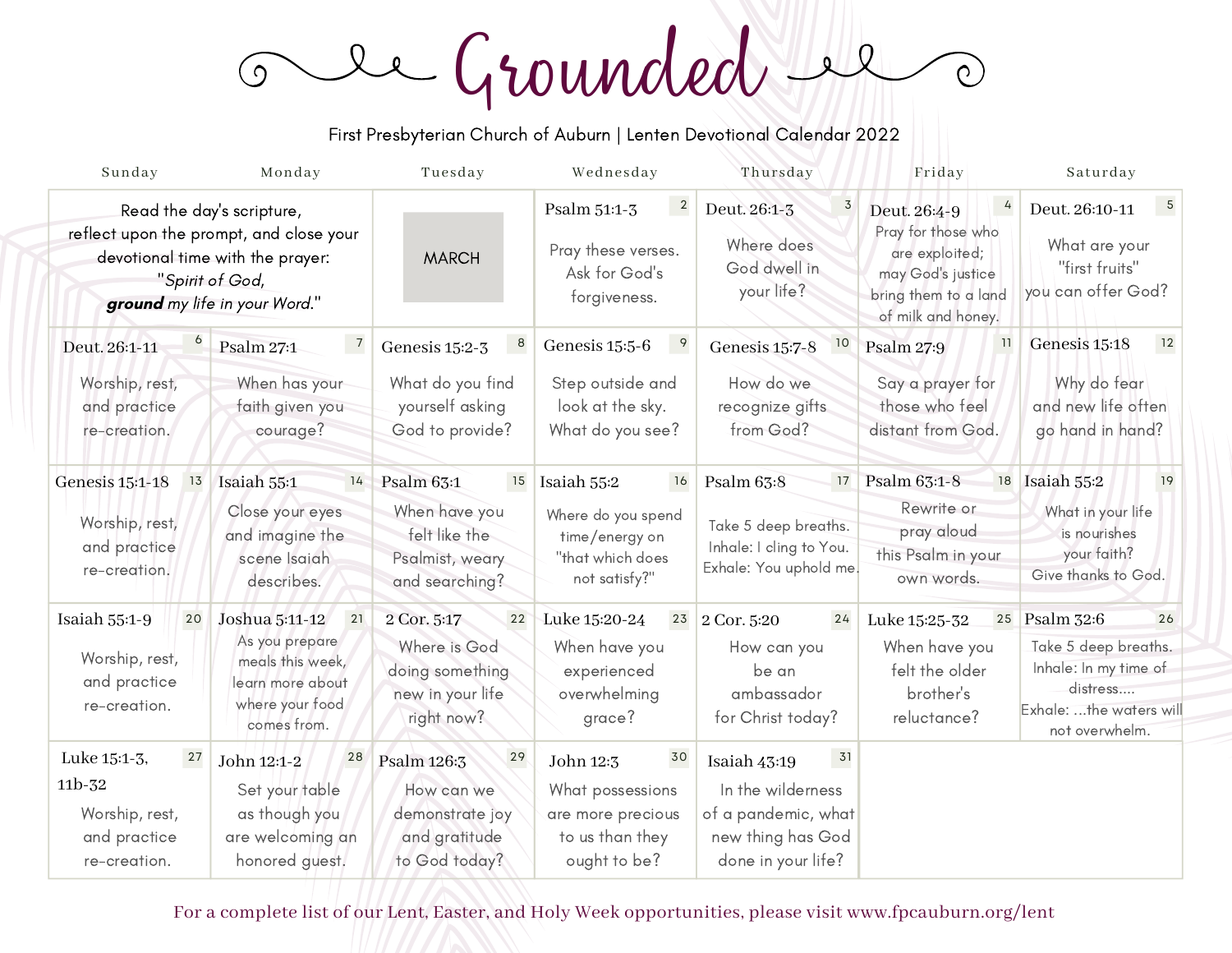Grounded  $\sqrt{Q}$  $\circ$  $\bigcirc$ 

First Presbyterian Church of Auburn | Lenten Devotional Calendar 2022

| Sunday                                                                                                                                                       | Monday                                                                                                           | Tuesday                                                                                      | Wednesday                                                                                             | Thursday                                                                                                  | Friday                                                                                                                       | Saturday                                                                                                                      |
|--------------------------------------------------------------------------------------------------------------------------------------------------------------|------------------------------------------------------------------------------------------------------------------|----------------------------------------------------------------------------------------------|-------------------------------------------------------------------------------------------------------|-----------------------------------------------------------------------------------------------------------|------------------------------------------------------------------------------------------------------------------------------|-------------------------------------------------------------------------------------------------------------------------------|
| Read the day's scripture,<br>reflect upon the prompt, and close your<br>devotional time with the prayer:<br>"Spirit of God,<br>ground my life in your Word." |                                                                                                                  | <b>MARCH</b>                                                                                 | $\overline{\mathbf{c}}$<br>Psalm 51:1-3<br>Pray these verses.<br>Ask for God's<br>forgiveness.        | $\overline{3}$<br>Deut. 26:1-3<br>Where does<br>God dwell in<br>your life?                                | 4<br>Deut. 26:4-9<br>Pray for those who<br>are exploited;<br>may God's justice<br>bring them to a land<br>of milk and honey. | $\overline{5}$<br>Deut. 26:10-11<br>What are your<br>"first fruits"<br>you can offer God?                                     |
| Deut. 26:1-11<br>Worship, rest,<br>and practice<br>re-creation.                                                                                              | $\overline{7}$<br>Psalm 27:1<br>When has your<br>faith given you<br>courage?                                     | $\boldsymbol{8}$<br>Genesis 15:2-3<br>What do you find<br>yourself asking<br>God to provide? | 9<br>Genesis 15:5-6<br>Step outside and<br>look at the sky.<br>What do you see?                       | 10<br>Genesis 15:7-8<br>How do we<br>recognize gifts<br>from God?                                         | 11<br><b>Psalm 27:9</b><br>Say a prayer for<br>those who feel<br>distant from God.                                           | 12<br>Genesis 15:18<br>Why do fear<br>and new life often<br>go hand in hand?                                                  |
| Genesis 15:1-18<br>13<br>Worship, rest,<br>and practice<br>re-creation.                                                                                      | Isaiah 55:1<br>14<br>Close your eyes<br>and imagine the<br>scene Isaiah<br>describes.                            | Psalm 63:1<br>15<br>When have you<br>felt like the<br>Psalmist, weary<br>and searching?      | Isaiah 55:2<br><b>16</b><br>Where do you spend<br>time/energy on<br>"that which does<br>not satisfy?" | Psalm $63:8$<br>17<br>Take 5 deep breaths.<br>Inhale: I cling to You.<br>Exhale: You uphold me.           | Psalm 63:1-8<br>Rewrite or<br>pray aloud<br>this Psalm in your<br>own words.                                                 | 18 Isaiah 55:2<br>19<br>What in your life<br>is nourishes<br>your faith?<br>Give thanks to God.                               |
| Isaiah 55:1-9<br>20<br>Worship, rest,<br>and practice<br>re-creation.                                                                                        | Joshua 5:11-12<br>21<br>As you prepare<br>meals this week,<br>learn more about<br>where your food<br>comes from. | 2 Cor. 5:17<br>22<br>Where is God<br>doing something<br>new in your life<br>right now?       | Luke 15:20-24<br>23<br>When have you<br>experienced<br>overwhelming<br>grace?                         | 2 Cor. 5:20<br>24<br>How can you<br>be an<br>ambassador<br>for Christ today?                              | Luke 15:25-32<br>When have you<br>felt the older<br>brother's<br>reluctance?                                                 | 25 Psalm 32:6<br>26<br>Take 5 deep breaths.<br>Inhale: In my time of<br>distress<br>Exhale: the waters will<br>not overwhelm. |
| Luke 15:1-3,<br>27<br>11b-32<br>Worship, rest,<br>and practice<br>re-creation.                                                                               | 28<br>John 12:1-2<br>Set your table<br>as though you<br>are welcoming an<br>honored guest.                       | 29<br>Psalm 126:3<br>How can we<br>demonstrate joy<br>and gratitude<br>to God today?         | 30<br>John 12:3<br>What possessions<br>are more precious<br>to us than they<br>ought to be?           | 31<br>Isaiah 43:19<br>In the wilderness<br>of a pandemic, what<br>new thing has God<br>done in your life? |                                                                                                                              |                                                                                                                               |

For a complete list of our Lent, Easter, and Holy Week opportunities, please visit www.fpcauburn.org/lent